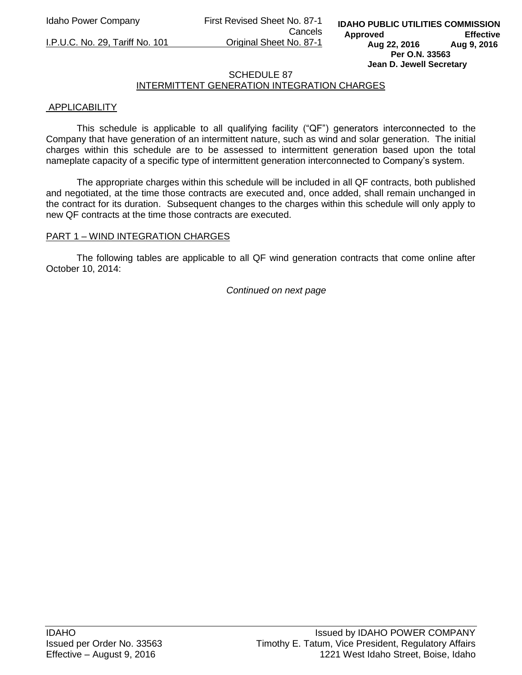Idaho Power Company First Revised Sheet No. 87-1 Cancels

I.P.U.C. No. 29, Tariff No. 101 Original Sheet No. 87-1

**IDAHO PUBLIC UTILITIES COMMISSION Approved Effective Aug 22, 2016 Aug 9, 2016 Per O.N. 33563 Jean D. Jewell Secretary** 

# SCHEDULE 87

## INTERMITTENT GENERATION INTEGRATION CHARGES

#### **APPLICABILITY**

This schedule is applicable to all qualifying facility ("QF") generators interconnected to the Company that have generation of an intermittent nature, such as wind and solar generation. The initial charges within this schedule are to be assessed to intermittent generation based upon the total nameplate capacity of a specific type of intermittent generation interconnected to Company's system.

The appropriate charges within this schedule will be included in all QF contracts, both published and negotiated, at the time those contracts are executed and, once added, shall remain unchanged in the contract for its duration. Subsequent changes to the charges within this schedule will only apply to new QF contracts at the time those contracts are executed.

#### PART 1 – WIND INTEGRATION CHARGES

 The following tables are applicable to all QF wind generation contracts that come online after October 10, 2014:

*Continued on next page*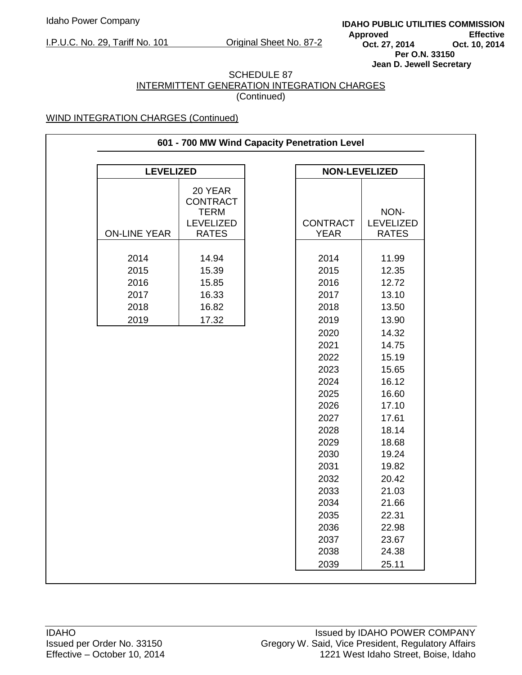**IDAHO PUBLIC UTILITIES COMMISSION** Approved **Effective**<br>
Oct. 27, 2014 **Oct. 10, 2014 Oct. 27, 2014 Per O.N. 33150 Jean D. Jewell Secretary** 

#### SCHEDULE 87 INTERMITTENT GENERATION INTEGRATION CHARGES (Continued)

| <b>LEVELIZED</b>    |                                           | <b>NON-LEVELIZED</b> |                  |
|---------------------|-------------------------------------------|----------------------|------------------|
|                     | 20 YEAR<br><b>CONTRACT</b><br><b>TERM</b> |                      | NON-             |
|                     | <b>LEVELIZED</b>                          | <b>CONTRACT</b>      | <b>LEVELIZED</b> |
| <b>ON-LINE YEAR</b> | <b>RATES</b>                              | <b>YEAR</b>          | <b>RATES</b>     |
| 2014                | 14.94                                     | 2014                 | 11.99            |
| 2015                | 15.39                                     | 2015                 | 12.35            |
| 2016                | 15.85                                     | 2016                 | 12.72            |
| 2017                | 16.33                                     | 2017                 | 13.10            |
| 2018                | 16.82                                     | 2018                 | 13.50            |
| 2019                | 17.32                                     | 2019                 | 13.90            |
|                     |                                           | 2020                 | 14.32            |
|                     |                                           | 2021                 | 14.75            |
|                     |                                           | 2022                 | 15.19            |
|                     |                                           | 2023                 | 15.65            |
|                     |                                           | 2024                 | 16.12            |
|                     |                                           | 2025                 | 16.60            |
|                     |                                           | 2026                 | 17.10            |
|                     |                                           | 2027                 | 17.61            |
|                     |                                           | 2028                 | 18.14            |
|                     |                                           | 2029                 | 18.68            |
|                     |                                           | 2030                 | 19.24            |
|                     |                                           | 2031                 | 19.82            |
|                     |                                           | 2032                 | 20.42            |
|                     |                                           | 2033                 | 21.03            |
|                     |                                           | 2034                 | 21.66            |
|                     |                                           | 2035                 | 22.31            |
|                     |                                           | 2036                 | 22.98            |
|                     |                                           | 2037                 | 23.67            |
|                     |                                           | 2038<br>2039         | 24.38<br>25.11   |
|                     |                                           |                      |                  |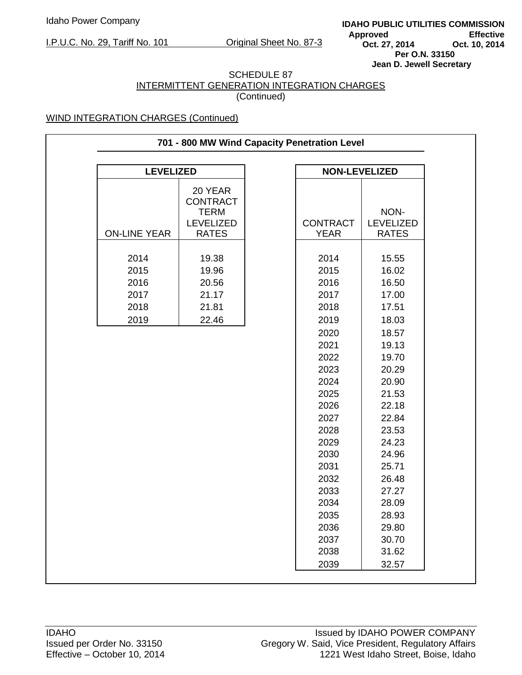**IDAHO PUBLIC UTILITIES COMMISSION** Approved **Effective**<br>
Oct. 27, 2014 **Oct. 10, 2014 Oct. 27, 2014 Per O.N. 33150 Jean D. Jewell Secretary** 

#### SCHEDULE 87 INTERMITTENT GENERATION INTEGRATION CHARGES (Continued)

| <b>LEVELIZED</b>    |                                                               | <b>NON-LEVELIZED</b> |                   |
|---------------------|---------------------------------------------------------------|----------------------|-------------------|
|                     | 20 YEAR<br><b>CONTRACT</b><br><b>TERM</b><br><b>LEVELIZED</b> | <b>CONTRACT</b>      | NON-<br>LEVELIZED |
| <b>ON-LINE YEAR</b> | <b>RATES</b>                                                  | <b>YEAR</b>          | <b>RATES</b>      |
|                     |                                                               |                      |                   |
| 2014                | 19.38                                                         | 2014                 | 15.55             |
| 2015                | 19.96                                                         | 2015                 | 16.02             |
| 2016                | 20.56                                                         | 2016                 | 16.50             |
| 2017                | 21.17                                                         | 2017                 | 17.00             |
| 2018                | 21.81                                                         | 2018                 | 17.51             |
| 2019                | 22.46                                                         | 2019                 | 18.03             |
|                     |                                                               | 2020                 | 18.57             |
|                     |                                                               | 2021                 | 19.13             |
|                     |                                                               | 2022                 | 19.70             |
|                     |                                                               | 2023                 | 20.29             |
|                     |                                                               | 2024                 | 20.90             |
|                     |                                                               | 2025                 | 21.53             |
|                     |                                                               | 2026                 | 22.18             |
|                     |                                                               | 2027                 | 22.84             |
|                     |                                                               | 2028                 | 23.53             |
|                     |                                                               | 2029                 | 24.23             |
|                     |                                                               | 2030                 | 24.96             |
|                     |                                                               | 2031                 | 25.71             |
|                     |                                                               | 2032                 | 26.48             |
|                     |                                                               | 2033                 | 27.27             |
|                     |                                                               | 2034                 | 28.09             |
|                     |                                                               | 2035                 | 28.93             |
|                     |                                                               | 2036                 | 29.80             |
|                     |                                                               | 2037                 | 30.70             |
|                     |                                                               | 2038                 | 31.62             |
|                     |                                                               | 2039                 | 32.57             |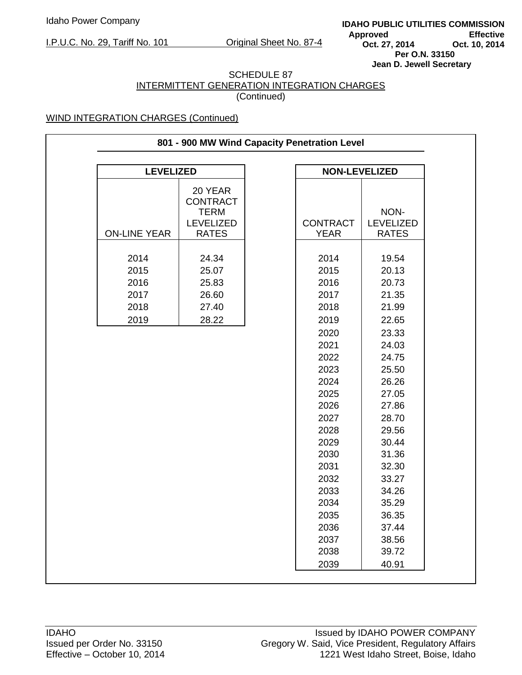**IDAHO PUBLIC UTILITIES COMMISSION** Approved **Effective**<br>
Oct. 27, 2014 **Oct. 10, 2014 Oct. 27, 2014 Per O.N. 33150 Jean D. Jewell Secretary** 

#### SCHEDULE 87 INTERMITTENT GENERATION INTEGRATION CHARGES (Continued)

| <b>LEVELIZED</b>    |                                                                               |                                | <b>NON-LEVELIZED</b>                     |
|---------------------|-------------------------------------------------------------------------------|--------------------------------|------------------------------------------|
| <b>ON-LINE YEAR</b> | 20 YEAR<br><b>CONTRACT</b><br><b>TERM</b><br><b>LEVELIZED</b><br><b>RATES</b> | <b>CONTRACT</b><br><b>YEAR</b> | NON-<br><b>LEVELIZED</b><br><b>RATES</b> |
|                     |                                                                               |                                |                                          |
| 2014                | 24.34                                                                         | 2014                           | 19.54                                    |
| 2015                | 25.07                                                                         | 2015                           | 20.13                                    |
| 2016                | 25.83                                                                         | 2016                           | 20.73                                    |
| 2017                | 26.60                                                                         | 2017                           | 21.35                                    |
| 2018                | 27.40                                                                         | 2018                           | 21.99                                    |
| 2019                | 28.22                                                                         | 2019                           | 22.65                                    |
|                     |                                                                               | 2020                           | 23.33                                    |
|                     |                                                                               | 2021                           | 24.03                                    |
|                     |                                                                               | 2022                           | 24.75                                    |
|                     |                                                                               | 2023                           | 25.50                                    |
|                     |                                                                               | 2024                           | 26.26                                    |
|                     |                                                                               | 2025                           | 27.05                                    |
|                     |                                                                               | 2026                           | 27.86                                    |
|                     |                                                                               | 2027                           | 28.70                                    |
|                     |                                                                               | 2028                           | 29.56                                    |
|                     |                                                                               | 2029                           | 30.44                                    |
|                     |                                                                               | 2030                           | 31.36                                    |
|                     |                                                                               | 2031                           | 32.30                                    |
|                     |                                                                               | 2032                           | 33.27                                    |
|                     |                                                                               | 2033                           | 34.26                                    |
|                     |                                                                               | 2034                           | 35.29                                    |
|                     |                                                                               | 2035                           | 36.35                                    |
|                     |                                                                               | 2036                           | 37.44                                    |
|                     |                                                                               | 2037                           | 38.56                                    |
|                     |                                                                               | 2038                           | 39.72                                    |
|                     |                                                                               |                                |                                          |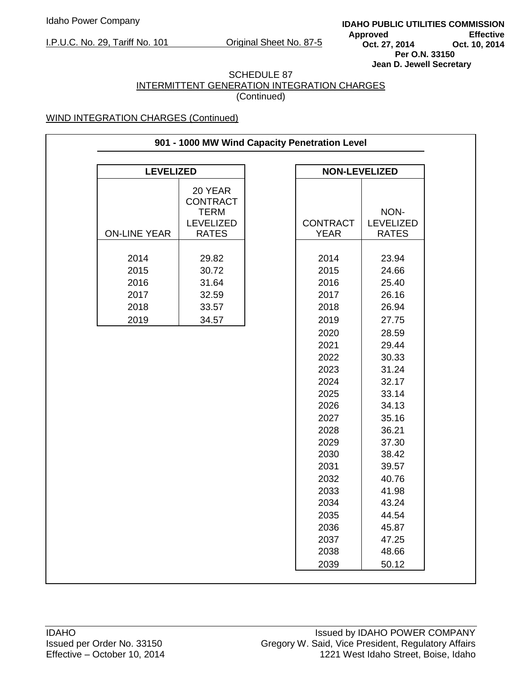**IDAHO PUBLIC UTILITIES COMMISSION** Approved **Effective**<br>
Oct. 27, 2014 **Oct. 10, 2014 Oct. 27, 2014 Per O.N. 33150 Jean D. Jewell Secretary** 

#### SCHEDULE 87 INTERMITTENT GENERATION INTEGRATION CHARGES (Continued)

| <b>LEVELIZED</b>    |                                                               |                 | <b>NON-LEVELIZED</b>     |
|---------------------|---------------------------------------------------------------|-----------------|--------------------------|
|                     | 20 YEAR<br><b>CONTRACT</b><br><b>TERM</b><br><b>LEVELIZED</b> | <b>CONTRACT</b> | NON-<br><b>LEVELIZED</b> |
| <b>ON-LINE YEAR</b> | <b>RATES</b>                                                  | <b>YEAR</b>     | <b>RATES</b>             |
|                     |                                                               |                 |                          |
| 2014                | 29.82                                                         | 2014            | 23.94                    |
| 2015                | 30.72                                                         | 2015            | 24.66                    |
| 2016                | 31.64                                                         | 2016            | 25.40                    |
| 2017                | 32.59                                                         | 2017            | 26.16                    |
| 2018                | 33.57                                                         | 2018            | 26.94                    |
| 2019                | 34.57                                                         | 2019            | 27.75                    |
|                     |                                                               | 2020            | 28.59                    |
|                     |                                                               | 2021            | 29.44                    |
|                     |                                                               | 2022            | 30.33                    |
|                     |                                                               | 2023            | 31.24                    |
|                     |                                                               | 2024            | 32.17                    |
|                     |                                                               | 2025            | 33.14                    |
|                     |                                                               | 2026            | 34.13                    |
|                     |                                                               | 2027            | 35.16                    |
|                     |                                                               | 2028            | 36.21                    |
|                     |                                                               | 2029            | 37.30                    |
|                     |                                                               | 2030            | 38.42                    |
|                     |                                                               | 2031            | 39.57                    |
|                     |                                                               | 2032            | 40.76                    |
|                     |                                                               | 2033            | 41.98                    |
|                     |                                                               | 2034            | 43.24                    |
|                     |                                                               | 2035            | 44.54                    |
|                     |                                                               | 2036            | 45.87                    |
|                     |                                                               | 2037            | 47.25                    |
|                     |                                                               | 2038            | 48.66                    |
|                     |                                                               | 2039            | 50.12                    |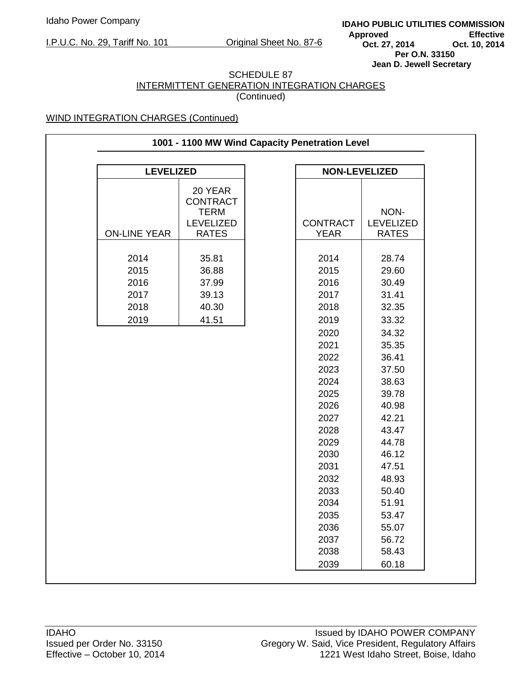**IDAHO PUBLIC UTILITIES COMMISSION** Approved **Effective**<br>
Oct. 27, 2014 **Oct. 10, 2014 Oct. 27, 2014 Per O.N. 33150 Jean D. Jewell Secretary** 

#### SCHEDULE 87 INTERMITTENT GENERATION INTEGRATION CHARGES (Continued)

| 1001 - 1100 MW Wind Capacity Penetration Level |                                                                               |  |                                                                                                                                                                              |                                                                                                                                                                                                    |  |  |
|------------------------------------------------|-------------------------------------------------------------------------------|--|------------------------------------------------------------------------------------------------------------------------------------------------------------------------------|----------------------------------------------------------------------------------------------------------------------------------------------------------------------------------------------------|--|--|
| <b>LEVELIZED</b>                               |                                                                               |  | <b>NON-LEVELIZED</b>                                                                                                                                                         |                                                                                                                                                                                                    |  |  |
| <b>ON-LINE YEAR</b>                            | 20 YEAR<br><b>CONTRACT</b><br><b>TERM</b><br><b>LEVELIZED</b><br><b>RATES</b> |  | <b>CONTRACT</b><br><b>YEAR</b>                                                                                                                                               | NON-<br><b>LEVELIZED</b><br><b>RATES</b>                                                                                                                                                           |  |  |
|                                                |                                                                               |  |                                                                                                                                                                              |                                                                                                                                                                                                    |  |  |
| 2014<br>2015<br>2016<br>2017<br>2018<br>2019   | 35.81<br>36.88<br>37.99<br>39.13<br>40.30<br>41.51                            |  | 2014<br>2015<br>2016<br>2017<br>2018<br>2019<br>2020<br>2021<br>2022<br>2023<br>2024<br>2025<br>2026<br>2027<br>2028<br>2029<br>2030<br>2031<br>2032<br>2033<br>2034<br>2035 | 28.74<br>29.60<br>30.49<br>31.41<br>32.35<br>33.32<br>34.32<br>35.35<br>36.41<br>37.50<br>38.63<br>39.78<br>40.98<br>42.21<br>43.47<br>44.78<br>46.12<br>47.51<br>48.93<br>50.40<br>51.91<br>53.47 |  |  |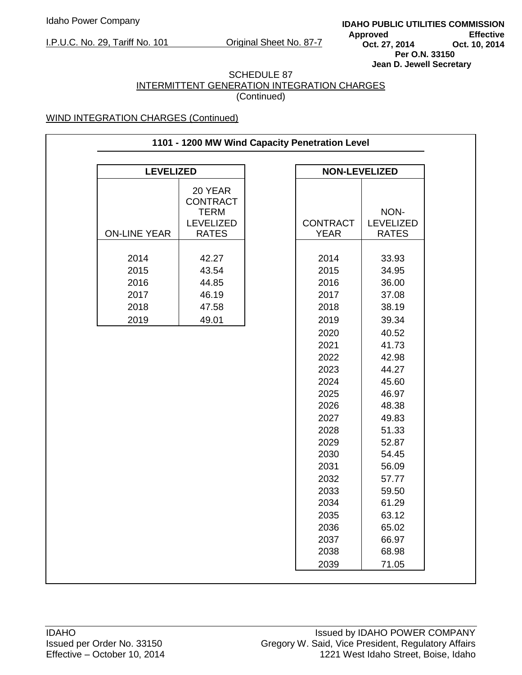**IDAHO PUBLIC UTILITIES COMMISSION** Approved **Effective**<br>
Oct. 27, 2014 **Oct. 10, 2014 Oct. 27, 2014 Per O.N. 33150 Jean D. Jewell Secretary** 

#### SCHEDULE 87 INTERMITTENT GENERATION INTEGRATION CHARGES (Continued)

| 1101 - 1200 MW Wind Capacity Penetration Level |                                                                        |  |                                                                                                                              |                                                                                                                                              |  |  |
|------------------------------------------------|------------------------------------------------------------------------|--|------------------------------------------------------------------------------------------------------------------------------|----------------------------------------------------------------------------------------------------------------------------------------------|--|--|
| <b>LEVELIZED</b>                               |                                                                        |  | <b>NON-LEVELIZED</b>                                                                                                         |                                                                                                                                              |  |  |
| <b>ON-LINE YEAR</b>                            | 20 YEAR<br><b>CONTRACT</b><br><b>TERM</b><br>LEVELIZED<br><b>RATES</b> |  | <b>CONTRACT</b><br><b>YEAR</b>                                                                                               | NON-<br><b>LEVELIZED</b><br><b>RATES</b>                                                                                                     |  |  |
|                                                |                                                                        |  |                                                                                                                              |                                                                                                                                              |  |  |
| 2014<br>2015<br>2016                           | 42.27<br>43.54<br>44.85                                                |  | 2014<br>2015<br>2016                                                                                                         | 33.93<br>34.95<br>36.00                                                                                                                      |  |  |
| 2017                                           | 46.19                                                                  |  | 2017                                                                                                                         | 37.08                                                                                                                                        |  |  |
| 2018                                           | 47.58                                                                  |  | 2018                                                                                                                         | 38.19                                                                                                                                        |  |  |
| 2019                                           | 49.01                                                                  |  | 2019                                                                                                                         | 39.34                                                                                                                                        |  |  |
|                                                |                                                                        |  | 2021<br>2022<br>2023<br>2024<br>2025<br>2026<br>2027<br>2028<br>2029<br>2030<br>2031<br>2032<br>2033<br>2034<br>2035<br>2036 | 41.73<br>42.98<br>44.27<br>45.60<br>46.97<br>48.38<br>49.83<br>51.33<br>52.87<br>54.45<br>56.09<br>57.77<br>59.50<br>61.29<br>63.12<br>65.02 |  |  |
|                                                |                                                                        |  | 2037<br>2038                                                                                                                 | 66.97<br>68.98                                                                                                                               |  |  |
|                                                |                                                                        |  | 2039                                                                                                                         | 71.05                                                                                                                                        |  |  |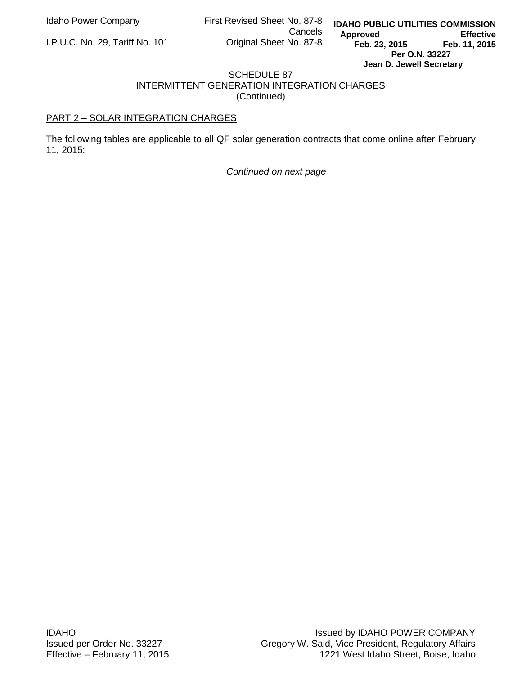Idaho Power Company First Revised Sheet No. 87-8

Cancels<br>Original Sheet No. 87-8

## I.P.U.C. No. 29, Tariff No. 101

#### SCHEDULE 87 INTERMITTENT GENERATION INTEGRATION CHARGES (Continued)

### PART 2 – SOLAR INTEGRATION CHARGES

The following tables are applicable to all QF solar generation contracts that come online after February 11, 2015:

*Continued on next page*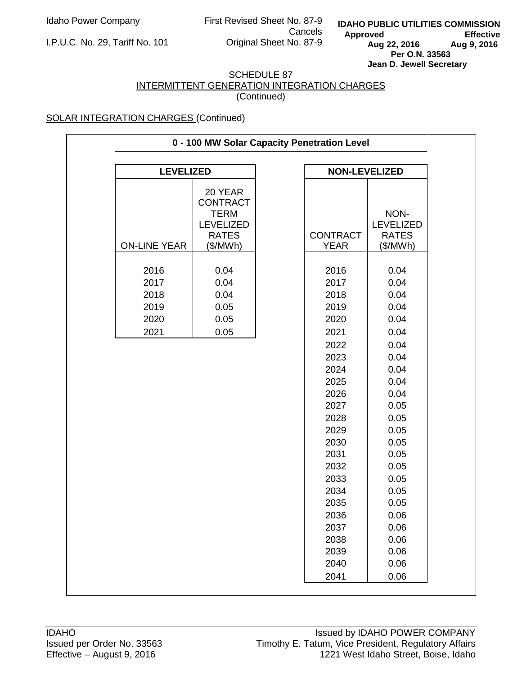Idaho Power Company First Revised Sheet No. 87-9 Cancels<br>Original Sheet No. 87-9

I.P.U.C. No. 29, Tariff No. 101

#### SCHEDULE 87 INTERMITTENT GENERATION INTEGRATION CHARGES (Continued)

| <b>LEVELIZED</b><br><b>NON-LEVELIZED</b> |                                                                               |  |                 |                                          |  |
|------------------------------------------|-------------------------------------------------------------------------------|--|-----------------|------------------------------------------|--|
|                                          |                                                                               |  |                 |                                          |  |
|                                          | 20 YEAR<br><b>CONTRACT</b><br><b>TERM</b><br><b>LEVELIZED</b><br><b>RATES</b> |  | <b>CONTRACT</b> | NON-<br><b>LEVELIZED</b><br><b>RATES</b> |  |
| <b>ON-LINE YEAR</b>                      | (\$/MWh)                                                                      |  | <b>YEAR</b>     | (\$/MWh)                                 |  |
| 2016<br>2017                             | 0.04<br>0.04                                                                  |  | 2016<br>2017    | 0.04<br>0.04                             |  |
| 2018                                     | 0.04                                                                          |  | 2018            | 0.04                                     |  |
| 2019                                     | 0.05                                                                          |  | 2019            | 0.04                                     |  |
| 2020                                     | 0.05                                                                          |  | 2020<br>2021    | 0.04<br>0.04                             |  |
| 2021                                     | 0.05                                                                          |  | 2022            | 0.04                                     |  |
|                                          |                                                                               |  | 2023            | 0.04                                     |  |
|                                          |                                                                               |  | 2024            | 0.04                                     |  |
|                                          |                                                                               |  | 2025            | 0.04                                     |  |
|                                          |                                                                               |  | 2026            | 0.04                                     |  |
|                                          |                                                                               |  | 2027            | 0.05                                     |  |
|                                          |                                                                               |  | 2028            | 0.05                                     |  |
|                                          |                                                                               |  | 2029            | 0.05                                     |  |
|                                          |                                                                               |  | 2030            | 0.05                                     |  |
|                                          |                                                                               |  | 2031            | 0.05                                     |  |
|                                          |                                                                               |  | 2032            | 0.05                                     |  |
|                                          |                                                                               |  | 2033            | 0.05                                     |  |
|                                          |                                                                               |  | 2034            | 0.05                                     |  |
|                                          |                                                                               |  | 2035            | 0.05                                     |  |
|                                          |                                                                               |  | 2036            | 0.06                                     |  |
|                                          |                                                                               |  | 2037            | 0.06                                     |  |
|                                          |                                                                               |  | 2038            | 0.06                                     |  |
|                                          |                                                                               |  | 2039            | 0.06                                     |  |
|                                          |                                                                               |  | 2040            | 0.06                                     |  |
|                                          |                                                                               |  | 2041            | 0.06                                     |  |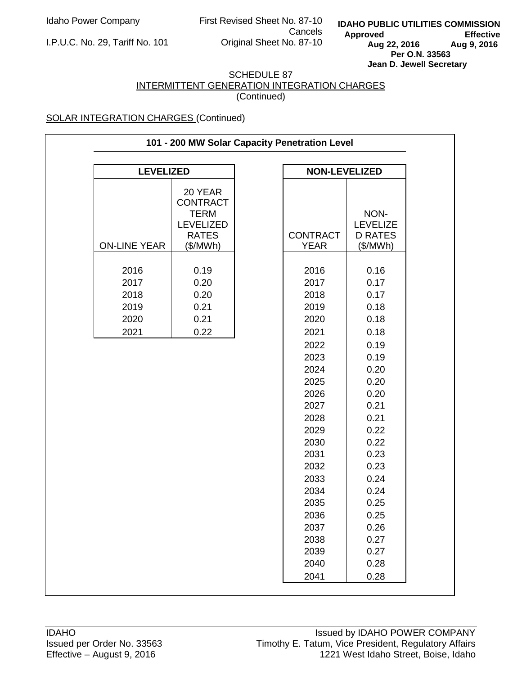I.P.U.C. No. 29, Tariff No. 101

Idaho Power Company First Revised Sheet No. 87-10 Cancels<br>Original Sheet No. 87-10

**IDAHO PUBLIC UTILITIES COMMISSION** Approved Effective<br>Aug 22, 2016 Aug 9, 2016 **Aug 22, 2016 Aug 9, 2016 Per O.N. 33563 Jean D. Jewell Secretary** 

## SCHEDULE 87 INTERMITTENT GENERATION INTEGRATION CHARGES

(Continued)

| 101 - 200 MW Solar Capacity Penetration Level |                                                                                           |  |                                                                                                                                                      |                                                                                                                                                      |  |  |
|-----------------------------------------------|-------------------------------------------------------------------------------------------|--|------------------------------------------------------------------------------------------------------------------------------------------------------|------------------------------------------------------------------------------------------------------------------------------------------------------|--|--|
| <b>NON-LEVELIZED</b><br><b>LEVELIZED</b>      |                                                                                           |  |                                                                                                                                                      |                                                                                                                                                      |  |  |
|                                               |                                                                                           |  |                                                                                                                                                      |                                                                                                                                                      |  |  |
| <b>ON-LINE YEAR</b>                           | 20 YEAR<br><b>CONTRACT</b><br><b>TERM</b><br><b>LEVELIZED</b><br><b>RATES</b><br>(\$/MWh) |  | <b>CONTRACT</b><br><b>YEAR</b>                                                                                                                       | NON-<br><b>LEVELIZE</b><br><b>D RATES</b><br>(\$/MWh)                                                                                                |  |  |
| 2016<br>2017<br>2018<br>2019<br>2020<br>2021  | 0.19<br>0.20<br>0.20<br>0.21<br>0.21<br>0.22                                              |  | 2016<br>2017<br>2018<br>2019<br>2020<br>2021                                                                                                         | 0.16<br>0.17<br>0.17<br>0.18<br>0.18<br>0.18                                                                                                         |  |  |
|                                               |                                                                                           |  | 2022<br>2023<br>2024<br>2025<br>2026<br>2027<br>2028<br>2029<br>2030<br>2031<br>2032<br>2033<br>2034<br>2035<br>2036<br>2037<br>2038<br>2039<br>2040 | 0.19<br>0.19<br>0.20<br>0.20<br>0.20<br>0.21<br>0.21<br>0.22<br>0.22<br>0.23<br>0.23<br>0.24<br>0.24<br>0.25<br>0.25<br>0.26<br>0.27<br>0.27<br>0.28 |  |  |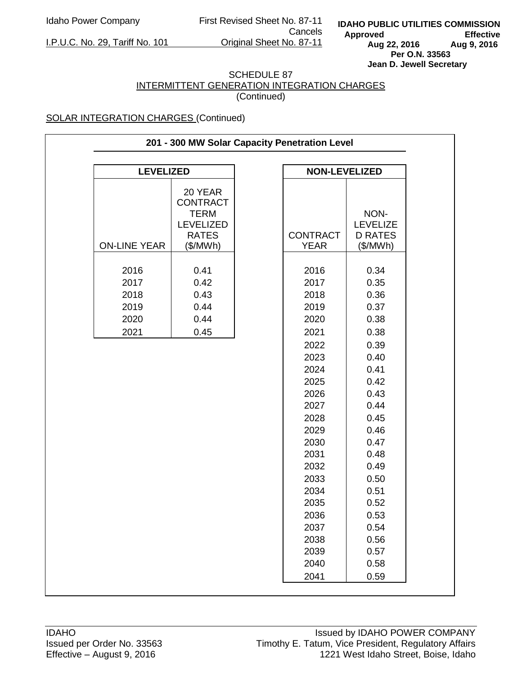I.P.U.C. No. 29, Tariff No. 101

Idaho Power Company First Revised Sheet No. 87-11 Cancels<br>Original Sheet No. 87-11

**IDAHO PUBLIC UTILITIES COMMISSION** Approved Effective<br>Aug 22, 2016 Aug 9, 2016 **Aug 22, 2016 Aug 9, 2016 Per O.N. 33563 Jean D. Jewell Secretary** 

#### SCHEDULE 87 INTERMITTENT GENERATION INTEGRATION CHARGES (Continued)

| 201 - 300 MW Solar Capacity Penetration Level |                                                                                           |  |                                                                                                                                              |                                                                                                                                              |  |  |
|-----------------------------------------------|-------------------------------------------------------------------------------------------|--|----------------------------------------------------------------------------------------------------------------------------------------------|----------------------------------------------------------------------------------------------------------------------------------------------|--|--|
| <b>LEVELIZED</b><br><b>NON-LEVELIZED</b>      |                                                                                           |  |                                                                                                                                              |                                                                                                                                              |  |  |
|                                               |                                                                                           |  |                                                                                                                                              |                                                                                                                                              |  |  |
| <b>ON-LINE YEAR</b>                           | 20 YEAR<br><b>CONTRACT</b><br><b>TERM</b><br><b>LEVELIZED</b><br><b>RATES</b><br>(\$/MWh) |  | <b>CONTRACT</b><br><b>YEAR</b>                                                                                                               | NON-<br><b>LEVELIZE</b><br><b>D RATES</b><br>(\$/MWh)                                                                                        |  |  |
| 2016<br>2017<br>2018<br>2019<br>2020<br>2021  | 0.41<br>0.42<br>0.43<br>0.44<br>0.44<br>0.45                                              |  | 2016<br>2017<br>2018<br>2019<br>2020<br>2021<br>2022<br>2023<br>2024<br>2025<br>2026<br>2027<br>2028<br>2029<br>2030<br>2031<br>2032<br>2033 | 0.34<br>0.35<br>0.36<br>0.37<br>0.38<br>0.38<br>0.39<br>0.40<br>0.41<br>0.42<br>0.43<br>0.44<br>0.45<br>0.46<br>0.47<br>0.48<br>0.49<br>0.50 |  |  |
|                                               |                                                                                           |  | 2034<br>2035<br>2036<br>2037                                                                                                                 | 0.51<br>0.52<br>0.53<br>0.54                                                                                                                 |  |  |
|                                               |                                                                                           |  | 2038<br>2039<br>2040<br>2041                                                                                                                 | 0.56<br>0.57<br>0.58<br>0.59                                                                                                                 |  |  |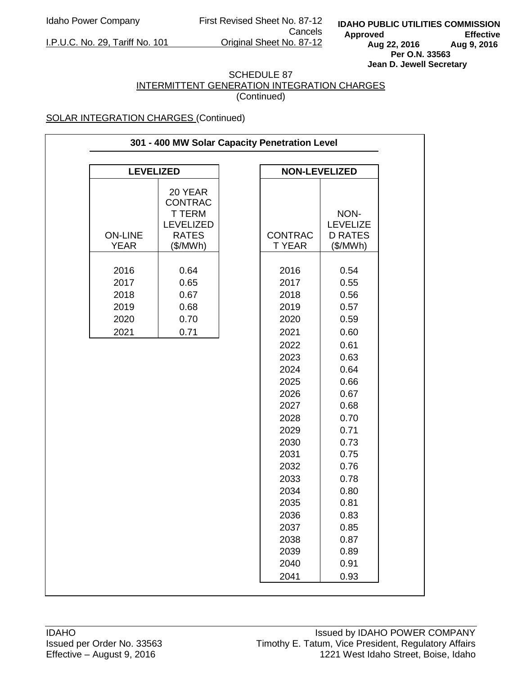Idaho Power Company First Revised Sheet No. 87-12 Cancels<br>Original Sheet No. 87-12

I.P.U.C. No. 29, Tariff No. 101

**IDAHO PUBLIC UTILITIES COMMISSION** Approved Effective<br>Aug 22, 2016 Aug 9, 2016 **Aug 22, 2016 Aug 9, 2016 Per O.N. 33563 Jean D. Jewell Secretary** 

#### SCHEDULE 87 INTERMITTENT GENERATION INTEGRATION CHARGES (Continued)

| 301 - 400 MW Solar Capacity Penetration Level |                                                                                           |  |                                                                                                                                                                                                      |                                                                                                                                                                                                      |  |  |
|-----------------------------------------------|-------------------------------------------------------------------------------------------|--|------------------------------------------------------------------------------------------------------------------------------------------------------------------------------------------------------|------------------------------------------------------------------------------------------------------------------------------------------------------------------------------------------------------|--|--|
|                                               |                                                                                           |  |                                                                                                                                                                                                      |                                                                                                                                                                                                      |  |  |
| <b>LEVELIZED</b>                              |                                                                                           |  | <b>NON-LEVELIZED</b>                                                                                                                                                                                 |                                                                                                                                                                                                      |  |  |
| <b>ON-LINE</b><br><b>YEAR</b>                 | 20 YEAR<br><b>CONTRAC</b><br><b>TTERM</b><br><b>LEVELIZED</b><br><b>RATES</b><br>(\$/MWh) |  | <b>CONTRAC</b><br><b>TYEAR</b>                                                                                                                                                                       | NON-<br><b>LEVELIZE</b><br><b>D RATES</b><br>(\$/MWh)                                                                                                                                                |  |  |
| 2016<br>2017<br>2018<br>2019<br>2020<br>2021  | 0.64<br>0.65<br>0.67<br>0.68<br>0.70<br>0.71                                              |  | 2016<br>2017<br>2018<br>2019<br>2020<br>2021<br>2022<br>2023<br>2024<br>2025<br>2026<br>2027<br>2028<br>2029<br>2030<br>2031<br>2032<br>2033<br>2034<br>2035<br>2036<br>2037<br>2038<br>2039<br>2040 | 0.54<br>0.55<br>0.56<br>0.57<br>0.59<br>0.60<br>0.61<br>0.63<br>0.64<br>0.66<br>0.67<br>0.68<br>0.70<br>0.71<br>0.73<br>0.75<br>0.76<br>0.78<br>0.80<br>0.81<br>0.83<br>0.85<br>0.87<br>0.89<br>0.91 |  |  |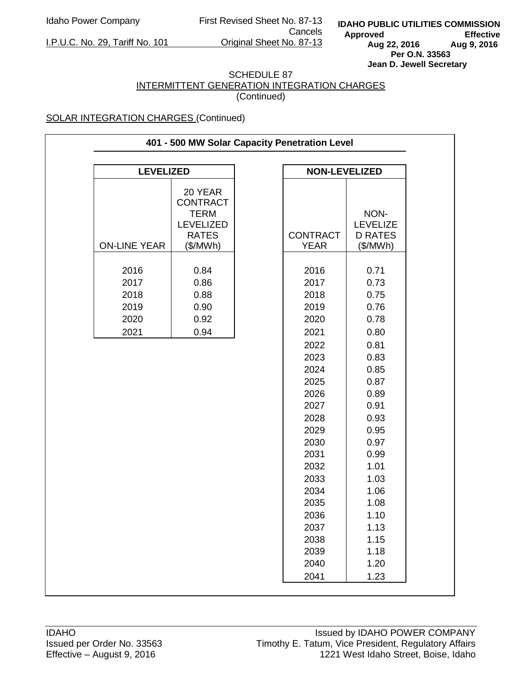I.P.U.C. No. 29, Tariff No. 101

Idaho Power Company First Revised Sheet No. 87-13 Cancels<br>Original Sheet No. 87-13

**IDAHO PUBLIC UTILITIES COMMISSION** Approved Effective<br>Aug 22, 2016 Aug 9, 2016 **Aug 22, 2016 Aug 9, 2016 Per O.N. 33563 Jean D. Jewell Secretary** 

## SCHEDULE 87 INTERMITTENT GENERATION INTEGRATION CHARGES

(Continued)

| 401 - 500 MW Solar Capacity Penetration Level |                                                                                           |  |                                                                                                                                                                                              |                                                                                                                                                                                              |  |  |
|-----------------------------------------------|-------------------------------------------------------------------------------------------|--|----------------------------------------------------------------------------------------------------------------------------------------------------------------------------------------------|----------------------------------------------------------------------------------------------------------------------------------------------------------------------------------------------|--|--|
| <b>LEVELIZED</b>                              |                                                                                           |  | <b>NON-LEVELIZED</b>                                                                                                                                                                         |                                                                                                                                                                                              |  |  |
| <b>ON-LINE YEAR</b>                           | 20 YEAR<br><b>CONTRACT</b><br><b>TERM</b><br><b>LEVELIZED</b><br><b>RATES</b><br>(\$/MWh) |  | <b>CONTRACT</b><br><b>YEAR</b>                                                                                                                                                               | NON-<br><b>LEVELIZE</b><br><b>D RATES</b><br>(\$/MWh)                                                                                                                                        |  |  |
| 2016<br>2017<br>2018<br>2019<br>2020<br>2021  | 0.84<br>0.86<br>0.88<br>0.90<br>0.92<br>0.94                                              |  | 2016<br>2017<br>2018<br>2019<br>2020<br>2021<br>2022<br>2023<br>2024<br>2025<br>2026<br>2027<br>2028<br>2029<br>2030<br>2031<br>2032<br>2033<br>2034<br>2035<br>2036<br>2037<br>2038<br>2039 | 0.71<br>0.73<br>0.75<br>0.76<br>0.78<br>0.80<br>0.81<br>0.83<br>0.85<br>0.87<br>0.89<br>0.91<br>0.93<br>0.95<br>0.97<br>0.99<br>1.01<br>1.03<br>1.06<br>1.08<br>1.10<br>1.13<br>1.15<br>1.18 |  |  |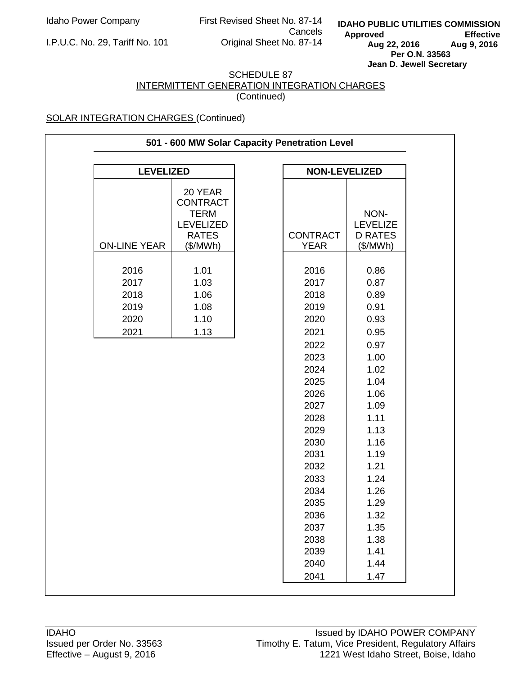Idaho Power Company First Revised Sheet No. 87-14 Cancels<br>Original Sheet No. 87-14

**IDAHO PUBLIC UTILITIES COMMISSION** Approved Effective<br>Aug 22, 2016 Aug 9, 2016 **Aug 22, 2016 Aug 9, 2016 Per O.N. 33563 Jean D. Jewell Secretary** 

I.P.U.C. No. 29, Tariff No. 101

#### SCHEDULE 87 INTERMITTENT GENERATION INTEGRATION CHARGES (Continued)

| 501 - 600 MW Solar Capacity Penetration Level |                                                                               |  |                              |                                           |  |  |
|-----------------------------------------------|-------------------------------------------------------------------------------|--|------------------------------|-------------------------------------------|--|--|
| <b>LEVELIZED</b>                              |                                                                               |  | <b>NON-LEVELIZED</b>         |                                           |  |  |
|                                               | 20 YEAR<br><b>CONTRACT</b><br><b>TERM</b><br><b>LEVELIZED</b><br><b>RATES</b> |  | <b>CONTRACT</b>              | NON-<br><b>LEVELIZE</b><br><b>D RATES</b> |  |  |
| <b>ON-LINE YEAR</b>                           | (\$/MWh)                                                                      |  | <b>YEAR</b>                  | (\$/MWh)                                  |  |  |
| 2016<br>2017<br>2018<br>2019                  | 1.01<br>1.03<br>1.06<br>1.08                                                  |  | 2016<br>2017<br>2018<br>2019 | 0.86<br>0.87<br>0.89<br>0.91              |  |  |
| 2020                                          | 1.10                                                                          |  | 2020                         | 0.93                                      |  |  |
| 2021                                          | 1.13                                                                          |  | 2021                         | 0.95                                      |  |  |
|                                               |                                                                               |  | 2022<br>2023<br>2024         | 0.97<br>1.00<br>1.02                      |  |  |
|                                               |                                                                               |  | 2025                         | 1.04                                      |  |  |
|                                               |                                                                               |  | 2026                         | 1.06                                      |  |  |
|                                               |                                                                               |  | 2027                         | 1.09                                      |  |  |
|                                               |                                                                               |  | 2028                         | 1.11                                      |  |  |
|                                               |                                                                               |  | 2029                         | 1.13                                      |  |  |
|                                               |                                                                               |  | 2030                         | 1.16                                      |  |  |
|                                               |                                                                               |  | 2031                         | 1.19                                      |  |  |
|                                               |                                                                               |  | 2032                         | 1.21                                      |  |  |
|                                               |                                                                               |  | 2033                         | 1.24                                      |  |  |
|                                               |                                                                               |  | 2034                         | 1.26                                      |  |  |
|                                               |                                                                               |  | 2035                         | 1.29                                      |  |  |
|                                               |                                                                               |  | 2036                         | 1.32                                      |  |  |
|                                               |                                                                               |  | 2037                         | 1.35                                      |  |  |
|                                               |                                                                               |  | 2038                         | 1.38                                      |  |  |
|                                               |                                                                               |  | 2039                         | 1.41                                      |  |  |
|                                               |                                                                               |  | 2040                         | 1.44                                      |  |  |
|                                               |                                                                               |  | 2041                         | 1.47                                      |  |  |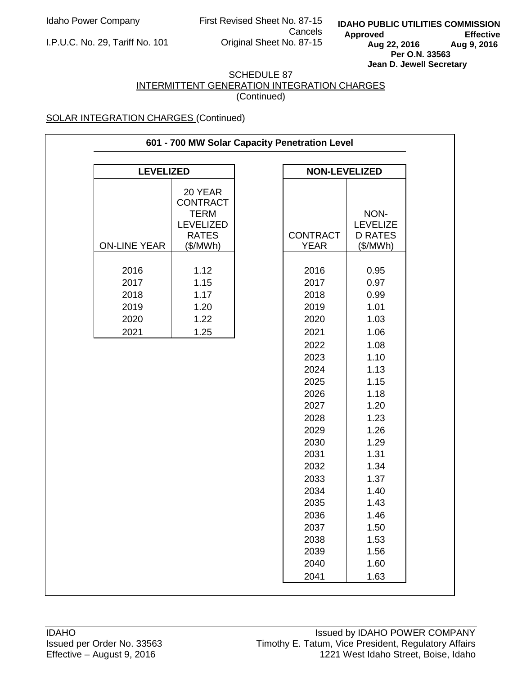Idaho Power Company First Revised Sheet No. 87-15 Cancels<br>Original Sheet No. 87-15

I.P.U.C. No. 29, Tariff No. 101

**IDAHO PUBLIC UTILITIES COMMISSION** Approved Effective<br>Aug 22, 2016 Aug 9, 2016 **Aug 22, 2016 Aug 9, 2016 Per O.N. 33563 Jean D. Jewell Secretary** 

#### SCHEDULE 87 INTERMITTENT GENERATION INTEGRATION CHARGES (Continued)

| 601 - 700 MW Solar Capacity Penetration Level |                                                                                           |  |                                                                                                                                              |                                                                                                                                              |  |  |
|-----------------------------------------------|-------------------------------------------------------------------------------------------|--|----------------------------------------------------------------------------------------------------------------------------------------------|----------------------------------------------------------------------------------------------------------------------------------------------|--|--|
|                                               |                                                                                           |  |                                                                                                                                              |                                                                                                                                              |  |  |
| <b>LEVELIZED</b>                              |                                                                                           |  | <b>NON-LEVELIZED</b>                                                                                                                         |                                                                                                                                              |  |  |
| <b>ON-LINE YEAR</b>                           | 20 YEAR<br><b>CONTRACT</b><br><b>TERM</b><br><b>LEVELIZED</b><br><b>RATES</b><br>(\$/MWh) |  | <b>CONTRACT</b><br><b>YEAR</b>                                                                                                               | NON-<br><b>LEVELIZE</b><br><b>D RATES</b><br>(\$/MWh)                                                                                        |  |  |
| 2016<br>2017<br>2018<br>2019<br>2020<br>2021  | 1.12<br>1.15<br>1.17<br>1.20<br>1.22<br>1.25                                              |  | 2016<br>2017<br>2018<br>2019<br>2020<br>2021                                                                                                 | 0.95<br>0.97<br>0.99<br>1.01<br>1.03<br>1.06                                                                                                 |  |  |
|                                               |                                                                                           |  | 2022<br>2023<br>2024<br>2025<br>2026<br>2027<br>2028<br>2029<br>2030<br>2031<br>2032<br>2033<br>2034<br>2035<br>2036<br>2037<br>2038<br>2039 | 1.08<br>1.10<br>1.13<br>1.15<br>1.18<br>1.20<br>1.23<br>1.26<br>1.29<br>1.31<br>1.34<br>1.37<br>1.40<br>1.43<br>1.46<br>1.50<br>1.53<br>1.56 |  |  |
|                                               |                                                                                           |  | 2040<br>2041                                                                                                                                 | 1.60<br>1.63                                                                                                                                 |  |  |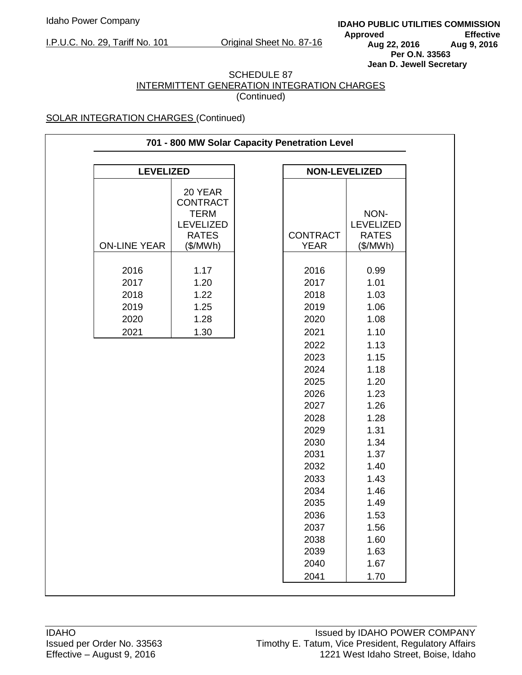**IDAHO PUBLIC UTILITIES COMMISSION** Approved Effective<br>Aug 22, 2016 Aug 9, 2016 **Aug 22, 2016 Aug 9, 2016 Per O.N. 33563 Jean D. Jewell Secretary** 

#### SCHEDULE 87 INTERMITTENT GENERATION INTEGRATION CHARGES (Continued)

| 701 - 800 MW Solar Capacity Penetration Level |                                                                                           |  |                                                                                                                                                      |                                                                                                                                              |  |
|-----------------------------------------------|-------------------------------------------------------------------------------------------|--|------------------------------------------------------------------------------------------------------------------------------------------------------|----------------------------------------------------------------------------------------------------------------------------------------------|--|
| <b>LEVELIZED</b><br><b>NON-LEVELIZED</b>      |                                                                                           |  |                                                                                                                                                      |                                                                                                                                              |  |
| <b>ON-LINE YEAR</b>                           | 20 YEAR<br><b>CONTRACT</b><br><b>TERM</b><br><b>LEVELIZED</b><br><b>RATES</b><br>(\$/MWh) |  | <b>CONTRACT</b><br><b>YEAR</b>                                                                                                                       | NON-<br><b>LEVELIZED</b><br><b>RATES</b><br>(\$/MWh)                                                                                         |  |
| 2016<br>2017<br>2018<br>2019<br>2020<br>2021  | 1.17<br>1.20<br>1.22<br>1.25<br>1.28<br>1.30                                              |  | 2016<br>2017<br>2018<br>2019<br>2020<br>2021                                                                                                         | 0.99<br>1.01<br>1.03<br>1.06<br>1.08<br>1.10                                                                                                 |  |
|                                               |                                                                                           |  | 2022<br>2023<br>2024<br>2025<br>2026<br>2027<br>2028<br>2029<br>2030<br>2031<br>2032<br>2033<br>2034<br>2035<br>2036<br>2037<br>2038<br>2039<br>2040 | 1.13<br>1.15<br>1.18<br>1.20<br>1.23<br>1.26<br>1.28<br>1.31<br>1.34<br>1.37<br>1.40<br>1.43<br>1.46<br>1.49<br>1.53<br>1.56<br>1.60<br>1.63 |  |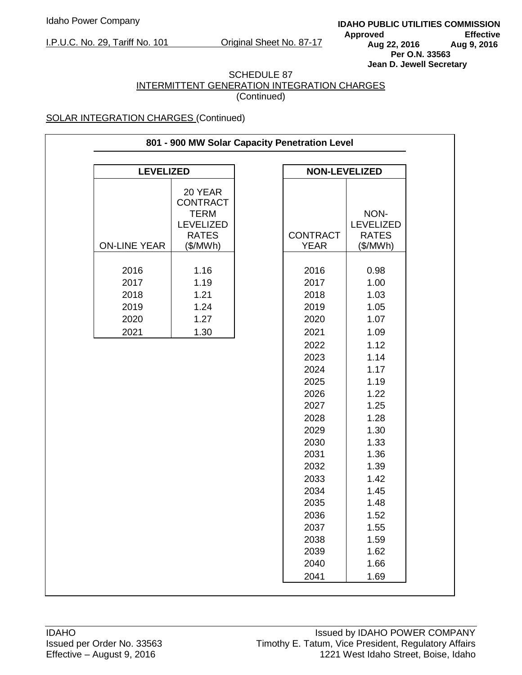**IDAHO PUBLIC UTILITIES COMMISSION** Approved Effective<br>Aug 22, 2016 Aug 9, 2016 **Aug 22, 2016 Aug 9, 2016 Per O.N. 33563 Jean D. Jewell Secretary** 

#### SCHEDULE 87 INTERMITTENT GENERATION INTEGRATION CHARGES (Continued)

| 801 - 900 MW Solar Capacity Penetration Level |                                                                                           |  |                                |                                               |  |
|-----------------------------------------------|-------------------------------------------------------------------------------------------|--|--------------------------------|-----------------------------------------------|--|
| <b>LEVELIZED</b><br><b>NON-LEVELIZED</b>      |                                                                                           |  |                                |                                               |  |
|                                               |                                                                                           |  |                                |                                               |  |
| <b>ON-LINE YEAR</b>                           | 20 YEAR<br><b>CONTRACT</b><br><b>TERM</b><br><b>LEVELIZED</b><br><b>RATES</b><br>(\$/MWh) |  | <b>CONTRACT</b><br><b>YEAR</b> | NON-<br>LEVELIZED<br><b>RATES</b><br>(\$/MWh) |  |
|                                               |                                                                                           |  |                                |                                               |  |
| 2016<br>2017<br>2018                          | 1.16<br>1.19<br>1.21                                                                      |  | 2016<br>2017<br>2018           | 0.98<br>1.00<br>1.03                          |  |
| 2019                                          | 1.24                                                                                      |  | 2019                           | 1.05                                          |  |
| 2020                                          | 1.27                                                                                      |  | 2020                           | 1.07                                          |  |
| 2021                                          | 1.30                                                                                      |  | 2021                           | 1.09                                          |  |
|                                               |                                                                                           |  | 2022                           | 1.12                                          |  |
|                                               |                                                                                           |  | 2023                           | 1.14                                          |  |
|                                               |                                                                                           |  | 2024                           | 1.17                                          |  |
|                                               |                                                                                           |  | 2025                           | 1.19                                          |  |
|                                               |                                                                                           |  | 2026                           | 1.22                                          |  |
|                                               |                                                                                           |  | 2027                           | 1.25                                          |  |
|                                               |                                                                                           |  | 2028                           | 1.28                                          |  |
|                                               |                                                                                           |  | 2029                           | 1.30                                          |  |
|                                               |                                                                                           |  | 2030                           | 1.33                                          |  |
|                                               |                                                                                           |  | 2031                           | 1.36                                          |  |
|                                               |                                                                                           |  | 2032                           | 1.39                                          |  |
|                                               |                                                                                           |  | 2033                           | 1.42                                          |  |
|                                               |                                                                                           |  | 2034                           | 1.45                                          |  |
|                                               |                                                                                           |  | 2035                           | 1.48                                          |  |
|                                               |                                                                                           |  | 2036                           | 1.52                                          |  |
|                                               |                                                                                           |  | 2037<br>2038                   | 1.55<br>1.59                                  |  |
|                                               |                                                                                           |  | 2039                           | 1.62                                          |  |
|                                               |                                                                                           |  | 2040                           | 1.66                                          |  |
|                                               |                                                                                           |  | 2041                           | 1.69                                          |  |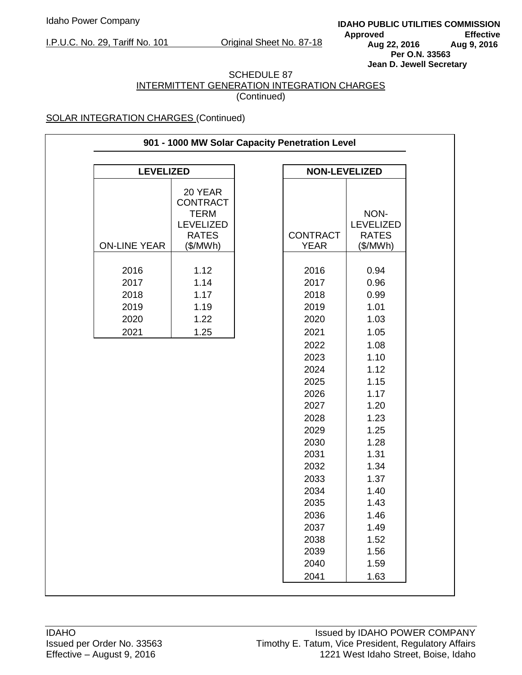**IDAHO PUBLIC UTILITIES COMMISSION** Approved Effective<br>Aug 22, 2016 Aug 9, 2016 **Aug 22, 2016 Aug 9, 2016 Per O.N. 33563 Jean D. Jewell Secretary** 

#### SCHEDULE 87 INTERMITTENT GENERATION INTEGRATION CHARGES (Continued)

| 901 - 1000 MW Solar Capacity Penetration Level |                                                                                           |  |                                      |                                                      |  |
|------------------------------------------------|-------------------------------------------------------------------------------------------|--|--------------------------------------|------------------------------------------------------|--|
|                                                |                                                                                           |  |                                      |                                                      |  |
| <b>LEVELIZED</b>                               |                                                                                           |  | <b>NON-LEVELIZED</b>                 |                                                      |  |
| <b>ON-LINE YEAR</b>                            | 20 YEAR<br><b>CONTRACT</b><br><b>TERM</b><br><b>LEVELIZED</b><br><b>RATES</b><br>(\$/MWh) |  | <b>CONTRACT</b><br><b>YEAR</b>       | NON-<br><b>LEVELIZED</b><br><b>RATES</b><br>(\$/MWh) |  |
| 2016<br>2017<br>2018<br>2019<br>2020           | 1.12<br>1.14<br>1.17<br>1.19<br>1.22                                                      |  | 2016<br>2017<br>2018<br>2019<br>2020 | 0.94<br>0.96<br>0.99<br>1.01<br>1.03                 |  |
| 2021                                           | 1.25                                                                                      |  | 2021                                 | 1.05                                                 |  |
|                                                |                                                                                           |  | 2022<br>2023<br>2024                 | 1.08<br>1.10<br>1.12                                 |  |
|                                                |                                                                                           |  | 2025<br>2026                         | 1.15<br>1.17                                         |  |
|                                                |                                                                                           |  | 2027<br>2028                         | 1.20<br>1.23                                         |  |
|                                                |                                                                                           |  | 2029<br>2030                         | 1.25<br>1.28                                         |  |
|                                                |                                                                                           |  | 2031<br>2032                         | 1.31<br>1.34<br>1.37                                 |  |
|                                                |                                                                                           |  | 2033<br>2034<br>2035                 | 1.40<br>1.43                                         |  |
|                                                |                                                                                           |  | 2036                                 | 1.46<br>1.49                                         |  |
|                                                |                                                                                           |  | 2037<br>2038<br>2039                 | 1.52<br>1.56                                         |  |
|                                                |                                                                                           |  | 2040<br>2041                         | 1.59<br>1.63                                         |  |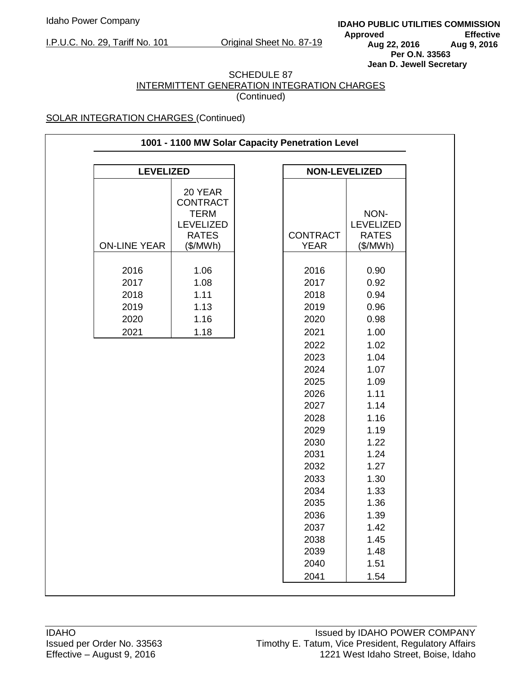**IDAHO PUBLIC UTILITIES COMMISSION** Approved Effective<br>Aug 22, 2016 Aug 9, 2016 **Aug 22, 2016 Aug 9, 2016 Per O.N. 33563 Jean D. Jewell Secretary** 

#### SCHEDULE 87 INTERMITTENT GENERATION INTEGRATION CHARGES (Continued)

| 1001 - 1100 MW Solar Capacity Penetration Level |                                                                                           |  |                                                                                                                      |                                                                                                                      |  |
|-------------------------------------------------|-------------------------------------------------------------------------------------------|--|----------------------------------------------------------------------------------------------------------------------|----------------------------------------------------------------------------------------------------------------------|--|
| <b>LEVELIZED</b><br><b>NON-LEVELIZED</b>        |                                                                                           |  |                                                                                                                      |                                                                                                                      |  |
|                                                 |                                                                                           |  |                                                                                                                      |                                                                                                                      |  |
| <b>ON-LINE YEAR</b>                             | 20 YEAR<br><b>CONTRACT</b><br><b>TERM</b><br><b>LEVELIZED</b><br><b>RATES</b><br>(\$/MWh) |  | <b>CONTRACT</b><br><b>YEAR</b>                                                                                       | NON-<br><b>LEVELIZED</b><br><b>RATES</b><br>(\$/MWh)                                                                 |  |
| 2016<br>2017<br>2018<br>2019<br>2020<br>2021    | 1.06<br>1.08<br>1.11<br>1.13<br>1.16<br>1.18                                              |  | 2016<br>2017<br>2018<br>2019<br>2020<br>2021<br>2022<br>2023<br>2024<br>2025<br>2026<br>2027<br>2028<br>2029<br>2030 | 0.90<br>0.92<br>0.94<br>0.96<br>0.98<br>1.00<br>1.02<br>1.04<br>1.07<br>1.09<br>1.11<br>1.14<br>1.16<br>1.19<br>1.22 |  |
|                                                 |                                                                                           |  | 2031<br>2032                                                                                                         | 1.24<br>1.27                                                                                                         |  |
|                                                 |                                                                                           |  | 2033<br>2034<br>2035                                                                                                 | 1.30<br>1.33<br>1.36                                                                                                 |  |
|                                                 |                                                                                           |  | 2036<br>2037                                                                                                         | 1.39                                                                                                                 |  |
|                                                 |                                                                                           |  | 2038                                                                                                                 | 1.42<br>1.45                                                                                                         |  |
|                                                 |                                                                                           |  | 2039<br>2040                                                                                                         | 1.48<br>1.51                                                                                                         |  |
|                                                 |                                                                                           |  | 2041                                                                                                                 | 1.54                                                                                                                 |  |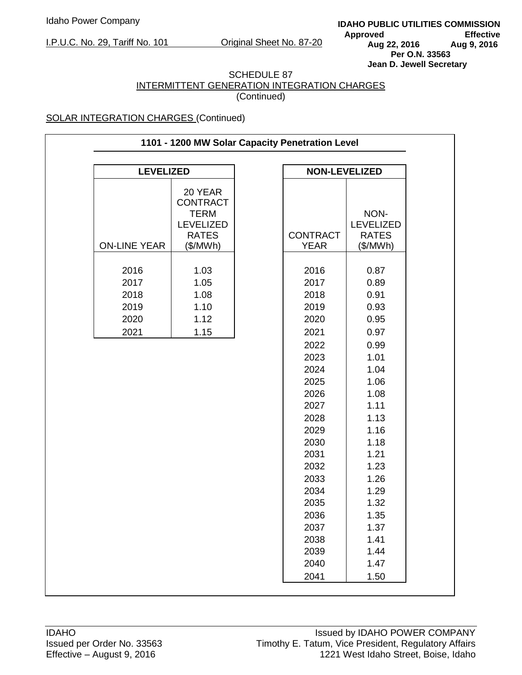**IDAHO PUBLIC UTILITIES COMMISSION** Approved Effective<br>Aug 22, 2016 Aug 9, 2016 **Aug 22, 2016 Aug 9, 2016 Per O.N. 33563 Jean D. Jewell Secretary** 

#### SCHEDULE 87 INTERMITTENT GENERATION INTEGRATION CHARGES (Continued)

| 1101 - 1200 MW Solar Capacity Penetration Level |                                                                                           |  |                                                                                                                                                                                                      |                                                                                                                                                                                                      |  |
|-------------------------------------------------|-------------------------------------------------------------------------------------------|--|------------------------------------------------------------------------------------------------------------------------------------------------------------------------------------------------------|------------------------------------------------------------------------------------------------------------------------------------------------------------------------------------------------------|--|
| <b>LEVELIZED</b>                                |                                                                                           |  | <b>NON-LEVELIZED</b>                                                                                                                                                                                 |                                                                                                                                                                                                      |  |
| <b>ON-LINE YEAR</b>                             | 20 YEAR<br><b>CONTRACT</b><br><b>TERM</b><br><b>LEVELIZED</b><br><b>RATES</b><br>(\$/MWh) |  | <b>CONTRACT</b><br><b>YEAR</b>                                                                                                                                                                       | NON-<br><b>LEVELIZED</b><br><b>RATES</b><br>(\$/MWh)                                                                                                                                                 |  |
| 2016<br>2017<br>2018<br>2019<br>2020<br>2021    | 1.03<br>1.05<br>1.08<br>1.10<br>1.12<br>1.15                                              |  | 2016<br>2017<br>2018<br>2019<br>2020<br>2021<br>2022<br>2023<br>2024<br>2025<br>2026<br>2027<br>2028<br>2029<br>2030<br>2031<br>2032<br>2033<br>2034<br>2035<br>2036<br>2037<br>2038<br>2039<br>2040 | 0.87<br>0.89<br>0.91<br>0.93<br>0.95<br>0.97<br>0.99<br>1.01<br>1.04<br>1.06<br>1.08<br>1.11<br>1.13<br>1.16<br>1.18<br>1.21<br>1.23<br>1.26<br>1.29<br>1.32<br>1.35<br>1.37<br>1.41<br>1.44<br>1.47 |  |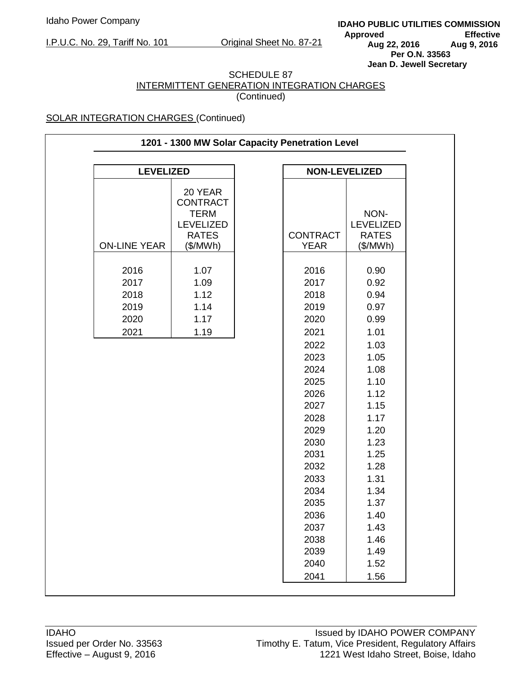**IDAHO PUBLIC UTILITIES COMMISSION** Approved Effective<br>Aug 22, 2016 Aug 9, 2016 **Aug 22, 2016 Aug 9, 2016 Per O.N. 33563 Jean D. Jewell Secretary** 

#### SCHEDULE 87 INTERMITTENT GENERATION INTEGRATION CHARGES (Continued)

| 1201 - 1300 MW Solar Capacity Penetration Level |                                                                                           |  |                                                                                                                                                                                                      |                                                                                                                                                                                                      |  |
|-------------------------------------------------|-------------------------------------------------------------------------------------------|--|------------------------------------------------------------------------------------------------------------------------------------------------------------------------------------------------------|------------------------------------------------------------------------------------------------------------------------------------------------------------------------------------------------------|--|
| <b>LEVELIZED</b>                                |                                                                                           |  | <b>NON-LEVELIZED</b>                                                                                                                                                                                 |                                                                                                                                                                                                      |  |
| <b>ON-LINE YEAR</b>                             | 20 YEAR<br><b>CONTRACT</b><br><b>TERM</b><br><b>LEVELIZED</b><br><b>RATES</b><br>(\$/MWh) |  | <b>CONTRACT</b><br><b>YEAR</b>                                                                                                                                                                       | NON-<br><b>LEVELIZED</b><br><b>RATES</b><br>(\$/MWh)                                                                                                                                                 |  |
| 2016<br>2017<br>2018<br>2019<br>2020<br>2021    | 1.07<br>1.09<br>1.12<br>1.14<br>1.17<br>1.19                                              |  | 2016<br>2017<br>2018<br>2019<br>2020<br>2021<br>2022<br>2023<br>2024<br>2025<br>2026<br>2027<br>2028<br>2029<br>2030<br>2031<br>2032<br>2033<br>2034<br>2035<br>2036<br>2037<br>2038<br>2039<br>2040 | 0.90<br>0.92<br>0.94<br>0.97<br>0.99<br>1.01<br>1.03<br>1.05<br>1.08<br>1.10<br>1.12<br>1.15<br>1.17<br>1.20<br>1.23<br>1.25<br>1.28<br>1.31<br>1.34<br>1.37<br>1.40<br>1.43<br>1.46<br>1.49<br>1.52 |  |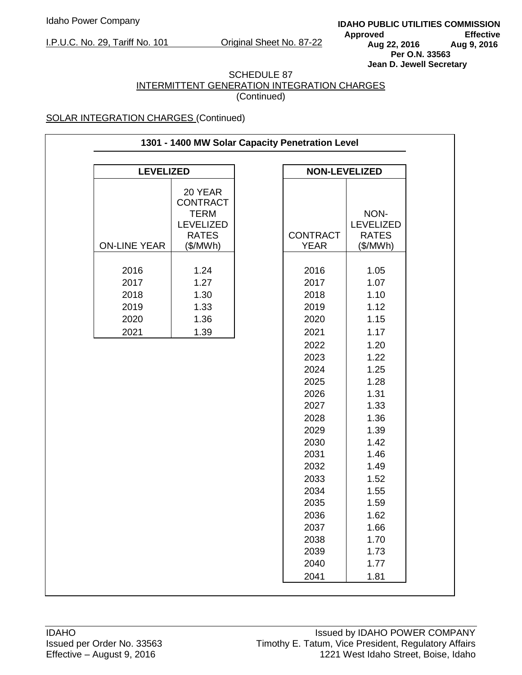**IDAHO PUBLIC UTILITIES COMMISSION** Approved Effective<br>Aug 22, 2016 Aug 9, 2016 **Aug 22, 2016 Aug 9, 2016 Per O.N. 33563 Jean D. Jewell Secretary** 

#### SCHEDULE 87 INTERMITTENT GENERATION INTEGRATION CHARGES (Continued)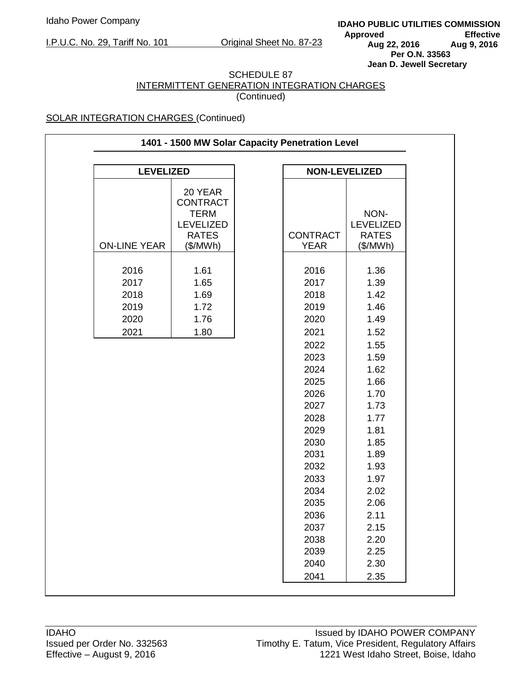**IDAHO PUBLIC UTILITIES COMMISSION** Approved Effective<br>Aug 22, 2016 Aug 9, 2016 **Aug 22, 2016 Aug 9, 2016 Per O.N. 33563 Jean D. Jewell Secretary** 

#### SCHEDULE 87 INTERMITTENT GENERATION INTEGRATION CHARGES (Continued)

| 1401 - 1500 MW Solar Capacity Penetration Level |                                                               |  |                                |                          |  |
|-------------------------------------------------|---------------------------------------------------------------|--|--------------------------------|--------------------------|--|
| <b>LEVELIZED</b><br><b>NON-LEVELIZED</b>        |                                                               |  |                                |                          |  |
|                                                 | 20 YEAR<br><b>CONTRACT</b><br><b>TERM</b><br><b>LEVELIZED</b> |  |                                | NON-<br><b>LEVELIZED</b> |  |
| <b>ON-LINE YEAR</b>                             | <b>RATES</b><br>(\$/MWh)                                      |  | <b>CONTRACT</b><br><b>YEAR</b> | <b>RATES</b><br>(\$/MWh) |  |
| 2016                                            | 1.61                                                          |  | 2016                           | 1.36                     |  |
| 2017                                            | 1.65                                                          |  | 2017                           | 1.39                     |  |
| 2018                                            | 1.69                                                          |  | 2018                           | 1.42                     |  |
| 2019                                            | 1.72                                                          |  | 2019                           | 1.46                     |  |
| 2020                                            | 1.76                                                          |  | 2020                           | 1.49                     |  |
| 2021                                            | 1.80                                                          |  | 2021                           | 1.52                     |  |
|                                                 |                                                               |  | 2022                           | 1.55                     |  |
|                                                 |                                                               |  | 2023                           | 1.59                     |  |
|                                                 |                                                               |  | 2024                           | 1.62                     |  |
|                                                 |                                                               |  | 2025                           | 1.66                     |  |
|                                                 |                                                               |  | 2026                           | 1.70                     |  |
|                                                 |                                                               |  | 2027                           | 1.73                     |  |
|                                                 |                                                               |  | 2028                           | 1.77                     |  |
|                                                 |                                                               |  | 2029                           | 1.81                     |  |
|                                                 |                                                               |  | 2030<br>2031                   | 1.85                     |  |
|                                                 |                                                               |  | 2032                           | 1.89                     |  |
|                                                 |                                                               |  | 2033                           | 1.93<br>1.97             |  |
|                                                 |                                                               |  | 2034                           | 2.02                     |  |
|                                                 |                                                               |  | 2035                           | 2.06                     |  |
|                                                 |                                                               |  | 2036                           | 2.11                     |  |
|                                                 |                                                               |  | 2037                           | 2.15                     |  |
|                                                 |                                                               |  | 2038                           | 2.20                     |  |
|                                                 |                                                               |  | 2039                           | 2.25                     |  |
|                                                 |                                                               |  | 2040                           | 2.30                     |  |
|                                                 |                                                               |  |                                |                          |  |